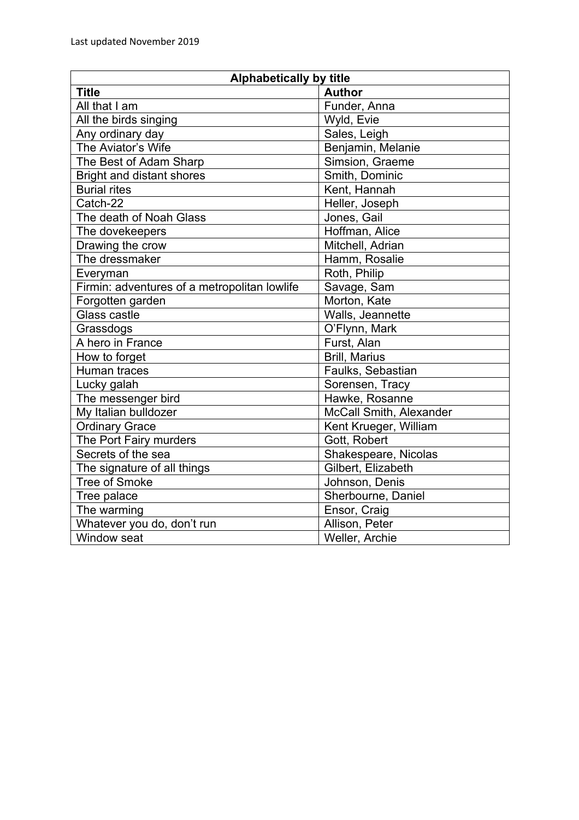| <b>Alphabetically by title</b>               |                         |
|----------------------------------------------|-------------------------|
| <b>Title</b>                                 | <b>Author</b>           |
| All that I am                                | Funder, Anna            |
| All the birds singing                        | Wyld, Evie              |
| Any ordinary day                             | Sales, Leigh            |
| The Aviator's Wife                           | Benjamin, Melanie       |
| The Best of Adam Sharp                       | Simsion, Graeme         |
| Bright and distant shores                    | Smith, Dominic          |
| <b>Burial rites</b>                          | Kent, Hannah            |
| Catch-22                                     | Heller, Joseph          |
| The death of Noah Glass                      | Jones, Gail             |
| The dovekeepers                              | Hoffman, Alice          |
| Drawing the crow                             | Mitchell, Adrian        |
| The dressmaker                               | Hamm, Rosalie           |
| Everyman                                     | Roth, Philip            |
| Firmin: adventures of a metropolitan lowlife | Savage, Sam             |
| Forgotten garden                             | Morton, Kate            |
| <b>Glass castle</b>                          | Walls, Jeannette        |
| Grassdogs                                    | O'Flynn, Mark           |
| A hero in France                             | Furst, Alan             |
| How to forget                                | <b>Brill, Marius</b>    |
| Human traces                                 | Faulks, Sebastian       |
| Lucky galah                                  | Sorensen, Tracy         |
| The messenger bird                           | Hawke, Rosanne          |
| My Italian bulldozer                         | McCall Smith, Alexander |
| <b>Ordinary Grace</b>                        | Kent Krueger, William   |
| The Port Fairy murders                       | Gott, Robert            |
| Secrets of the sea                           | Shakespeare, Nicolas    |
| The signature of all things                  | Gilbert, Elizabeth      |
| <b>Tree of Smoke</b>                         | Johnson, Denis          |
| Tree palace                                  | Sherbourne, Daniel      |
| The warming                                  | Ensor, Craig            |
| Whatever you do, don't run                   | Allison, Peter          |
| Window seat                                  | Weller, Archie          |